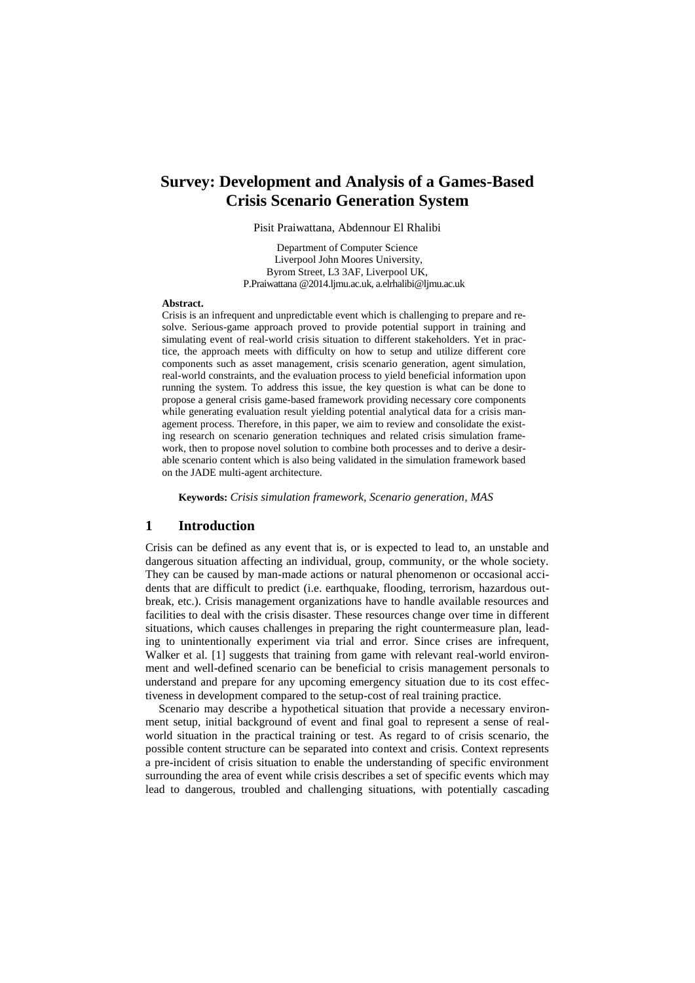# **Survey: Development and Analysis of a Games-Based Crisis Scenario Generation System**

Pisit Praiwattana, Abdennour El Rhalibi

Department of Computer Science Liverpool John Moores University, Byrom Street, L3 3AF, Liverpool UK, P.Praiwattana @2014.ljmu.ac.uk, a.elrhalibi@ljmu.ac.uk

#### **Abstract.**

Crisis is an infrequent and unpredictable event which is challenging to prepare and resolve. Serious-game approach proved to provide potential support in training and simulating event of real-world crisis situation to different stakeholders. Yet in practice, the approach meets with difficulty on how to setup and utilize different core components such as asset management, crisis scenario generation, agent simulation, real-world constraints, and the evaluation process to yield beneficial information upon running the system. To address this issue, the key question is what can be done to propose a general crisis game-based framework providing necessary core components while generating evaluation result yielding potential analytical data for a crisis management process. Therefore, in this paper, we aim to review and consolidate the existing research on scenario generation techniques and related crisis simulation framework, then to propose novel solution to combine both processes and to derive a desirable scenario content which is also being validated in the simulation framework based on the JADE multi-agent architecture.

**Keywords:** *Crisis simulation framework, Scenario generation, MAS*

### **1 Introduction**

Crisis can be defined as any event that is, or is expected to lead to, an unstable and dangerous situation affecting an individual, group, community, or the whole society. They can be caused by man-made actions or natural phenomenon or occasional accidents that are difficult to predict (i.e. earthquake, flooding, terrorism, hazardous outbreak, etc.). Crisis management organizations have to handle available resources and facilities to deal with the crisis disaster. These resources change over time in different situations, which causes challenges in preparing the right countermeasure plan, leading to unintentionally experiment via trial and error. Since crises are infrequent, Walker et al. [1] suggests that training from game with relevant real-world environment and well-defined scenario can be beneficial to crisis management personals to understand and prepare for any upcoming emergency situation due to its cost effectiveness in development compared to the setup-cost of real training practice.

Scenario may describe a hypothetical situation that provide a necessary environment setup, initial background of event and final goal to represent a sense of realworld situation in the practical training or test. As regard to of crisis scenario, the possible content structure can be separated into context and crisis. Context represents a pre-incident of crisis situation to enable the understanding of specific environment surrounding the area of event while crisis describes a set of specific events which may lead to dangerous, troubled and challenging situations, with potentially cascading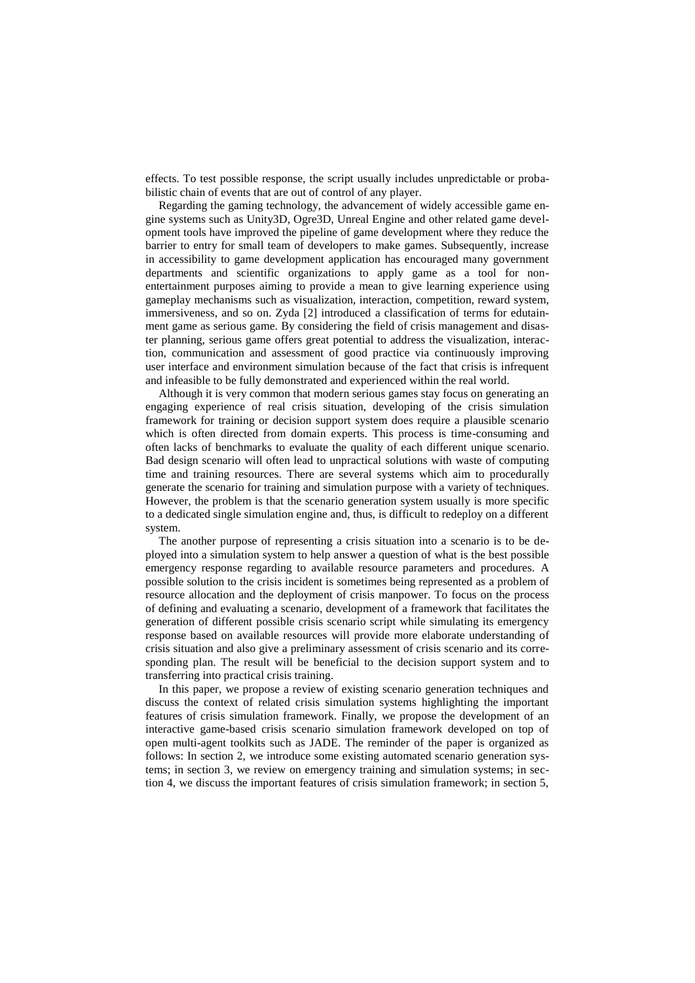effects. To test possible response, the script usually includes unpredictable or probabilistic chain of events that are out of control of any player.

Regarding the gaming technology, the advancement of widely accessible game engine systems such as Unity3D, Ogre3D, Unreal Engine and other related game development tools have improved the pipeline of game development where they reduce the barrier to entry for small team of developers to make games. Subsequently, increase in accessibility to game development application has encouraged many government departments and scientific organizations to apply game as a tool for nonentertainment purposes aiming to provide a mean to give learning experience using gameplay mechanisms such as visualization, interaction, competition, reward system, immersiveness, and so on. Zyda [2] introduced a classification of terms for edutainment game as serious game. By considering the field of crisis management and disaster planning, serious game offers great potential to address the visualization, interaction, communication and assessment of good practice via continuously improving user interface and environment simulation because of the fact that crisis is infrequent and infeasible to be fully demonstrated and experienced within the real world.

Although it is very common that modern serious games stay focus on generating an engaging experience of real crisis situation, developing of the crisis simulation framework for training or decision support system does require a plausible scenario which is often directed from domain experts. This process is time-consuming and often lacks of benchmarks to evaluate the quality of each different unique scenario. Bad design scenario will often lead to unpractical solutions with waste of computing time and training resources. There are several systems which aim to procedurally generate the scenario for training and simulation purpose with a variety of techniques. However, the problem is that the scenario generation system usually is more specific to a dedicated single simulation engine and, thus, is difficult to redeploy on a different system.

The another purpose of representing a crisis situation into a scenario is to be deployed into a simulation system to help answer a question of what is the best possible emergency response regarding to available resource parameters and procedures. A possible solution to the crisis incident is sometimes being represented as a problem of resource allocation and the deployment of crisis manpower. To focus on the process of defining and evaluating a scenario, development of a framework that facilitates the generation of different possible crisis scenario script while simulating its emergency response based on available resources will provide more elaborate understanding of crisis situation and also give a preliminary assessment of crisis scenario and its corresponding plan. The result will be beneficial to the decision support system and to transferring into practical crisis training.

In this paper, we propose a review of existing scenario generation techniques and discuss the context of related crisis simulation systems highlighting the important features of crisis simulation framework. Finally, we propose the development of an interactive game-based crisis scenario simulation framework developed on top of open multi-agent toolkits such as JADE. The reminder of the paper is organized as follows: In section 2, we introduce some existing automated scenario generation systems; in section 3, we review on emergency training and simulation systems; in section 4, we discuss the important features of crisis simulation framework; in section 5,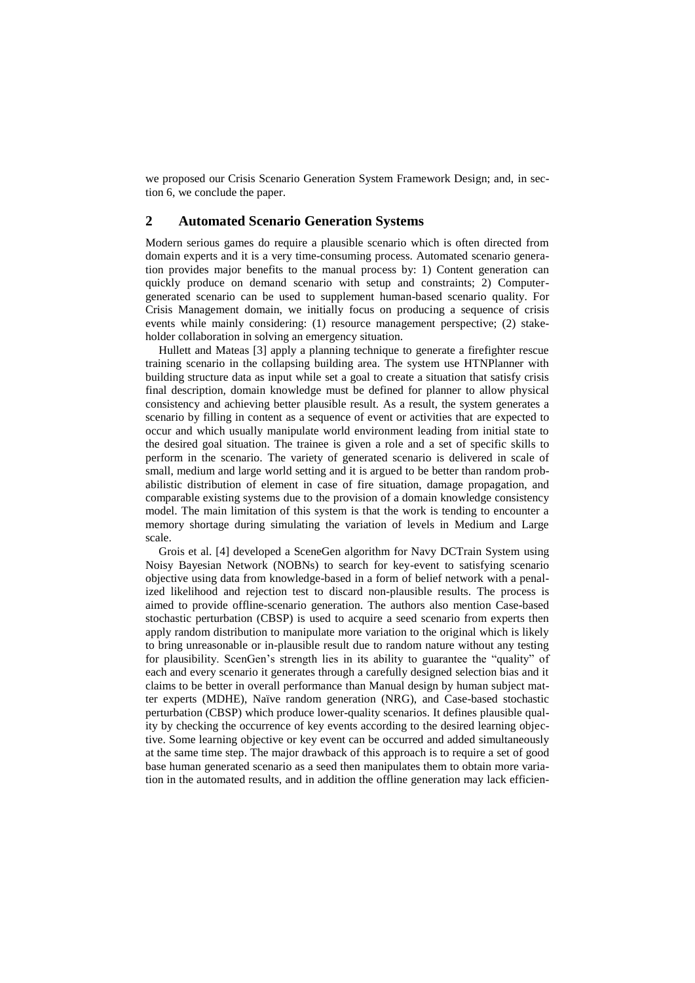we proposed our Crisis Scenario Generation System Framework Design; and, in section 6, we conclude the paper.

# **2 Automated Scenario Generation Systems**

Modern serious games do require a plausible scenario which is often directed from domain experts and it is a very time-consuming process. Automated scenario generation provides major benefits to the manual process by: 1) Content generation can quickly produce on demand scenario with setup and constraints; 2) Computergenerated scenario can be used to supplement human-based scenario quality. For Crisis Management domain, we initially focus on producing a sequence of crisis events while mainly considering: (1) resource management perspective; (2) stakeholder collaboration in solving an emergency situation.

Hullett and Mateas [3] apply a planning technique to generate a firefighter rescue training scenario in the collapsing building area. The system use HTNPlanner with building structure data as input while set a goal to create a situation that satisfy crisis final description, domain knowledge must be defined for planner to allow physical consistency and achieving better plausible result. As a result, the system generates a scenario by filling in content as a sequence of event or activities that are expected to occur and which usually manipulate world environment leading from initial state to the desired goal situation. The trainee is given a role and a set of specific skills to perform in the scenario. The variety of generated scenario is delivered in scale of small, medium and large world setting and it is argued to be better than random probabilistic distribution of element in case of fire situation, damage propagation, and comparable existing systems due to the provision of a domain knowledge consistency model. The main limitation of this system is that the work is tending to encounter a memory shortage during simulating the variation of levels in Medium and Large scale.

Grois et al. [4] developed a SceneGen algorithm for Navy DCTrain System using Noisy Bayesian Network (NOBNs) to search for key-event to satisfying scenario objective using data from knowledge-based in a form of belief network with a penalized likelihood and rejection test to discard non-plausible results. The process is aimed to provide offline-scenario generation. The authors also mention Case-based stochastic perturbation (CBSP) is used to acquire a seed scenario from experts then apply random distribution to manipulate more variation to the original which is likely to bring unreasonable or in-plausible result due to random nature without any testing for plausibility. ScenGen's strength lies in its ability to guarantee the "quality" of each and every scenario it generates through a carefully designed selection bias and it claims to be better in overall performance than Manual design by human subject matter experts (MDHE), Naïve random generation (NRG), and Case-based stochastic perturbation (CBSP) which produce lower-quality scenarios. It defines plausible quality by checking the occurrence of key events according to the desired learning objective. Some learning objective or key event can be occurred and added simultaneously at the same time step. The major drawback of this approach is to require a set of good base human generated scenario as a seed then manipulates them to obtain more variation in the automated results, and in addition the offline generation may lack efficien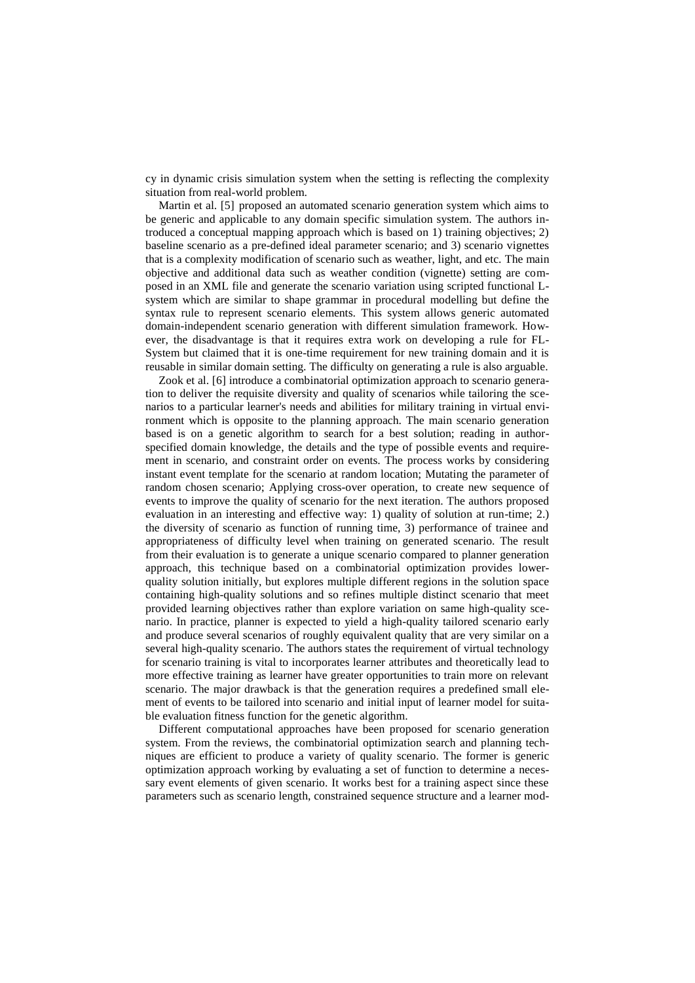cy in dynamic crisis simulation system when the setting is reflecting the complexity situation from real-world problem.

Martin et al. [5] proposed an automated scenario generation system which aims to be generic and applicable to any domain specific simulation system. The authors introduced a conceptual mapping approach which is based on 1) training objectives; 2) baseline scenario as a pre-defined ideal parameter scenario; and 3) scenario vignettes that is a complexity modification of scenario such as weather, light, and etc. The main objective and additional data such as weather condition (vignette) setting are composed in an XML file and generate the scenario variation using scripted functional Lsystem which are similar to shape grammar in procedural modelling but define the syntax rule to represent scenario elements. This system allows generic automated domain-independent scenario generation with different simulation framework. However, the disadvantage is that it requires extra work on developing a rule for FL-System but claimed that it is one-time requirement for new training domain and it is reusable in similar domain setting. The difficulty on generating a rule is also arguable.

Zook et al. [6] introduce a combinatorial optimization approach to scenario generation to deliver the requisite diversity and quality of scenarios while tailoring the scenarios to a particular learner's needs and abilities for military training in virtual environment which is opposite to the planning approach. The main scenario generation based is on a genetic algorithm to search for a best solution; reading in authorspecified domain knowledge, the details and the type of possible events and requirement in scenario, and constraint order on events. The process works by considering instant event template for the scenario at random location; Mutating the parameter of random chosen scenario; Applying cross-over operation, to create new sequence of events to improve the quality of scenario for the next iteration. The authors proposed evaluation in an interesting and effective way: 1) quality of solution at run-time; 2.) the diversity of scenario as function of running time, 3) performance of trainee and appropriateness of difficulty level when training on generated scenario. The result from their evaluation is to generate a unique scenario compared to planner generation approach, this technique based on a combinatorial optimization provides lowerquality solution initially, but explores multiple different regions in the solution space containing high-quality solutions and so refines multiple distinct scenario that meet provided learning objectives rather than explore variation on same high-quality scenario. In practice, planner is expected to yield a high-quality tailored scenario early and produce several scenarios of roughly equivalent quality that are very similar on a several high-quality scenario. The authors states the requirement of virtual technology for scenario training is vital to incorporates learner attributes and theoretically lead to more effective training as learner have greater opportunities to train more on relevant scenario. The major drawback is that the generation requires a predefined small element of events to be tailored into scenario and initial input of learner model for suitable evaluation fitness function for the genetic algorithm.

Different computational approaches have been proposed for scenario generation system. From the reviews, the combinatorial optimization search and planning techniques are efficient to produce a variety of quality scenario. The former is generic optimization approach working by evaluating a set of function to determine a necessary event elements of given scenario. It works best for a training aspect since these parameters such as scenario length, constrained sequence structure and a learner mod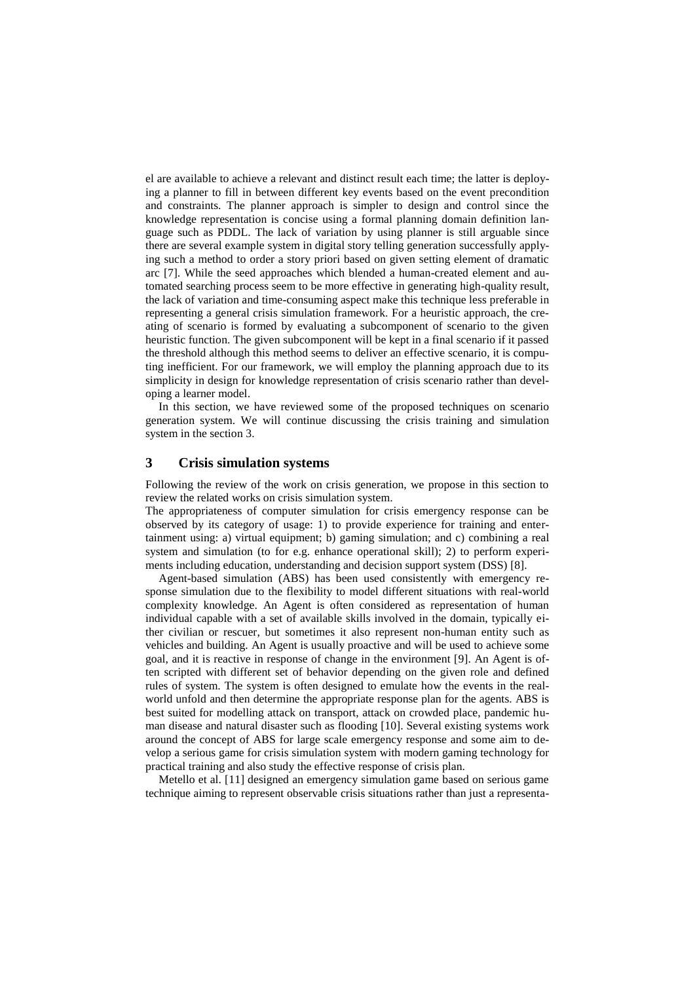el are available to achieve a relevant and distinct result each time; the latter is deploying a planner to fill in between different key events based on the event precondition and constraints. The planner approach is simpler to design and control since the knowledge representation is concise using a formal planning domain definition language such as PDDL. The lack of variation by using planner is still arguable since there are several example system in digital story telling generation successfully applying such a method to order a story priori based on given setting element of dramatic arc [7]. While the seed approaches which blended a human-created element and automated searching process seem to be more effective in generating high-quality result, the lack of variation and time-consuming aspect make this technique less preferable in representing a general crisis simulation framework. For a heuristic approach, the creating of scenario is formed by evaluating a subcomponent of scenario to the given heuristic function. The given subcomponent will be kept in a final scenario if it passed the threshold although this method seems to deliver an effective scenario, it is computing inefficient. For our framework, we will employ the planning approach due to its simplicity in design for knowledge representation of crisis scenario rather than developing a learner model.

In this section, we have reviewed some of the proposed techniques on scenario generation system. We will continue discussing the crisis training and simulation system in the section 3.

### **3 Crisis simulation systems**

Following the review of the work on crisis generation, we propose in this section to review the related works on crisis simulation system.

The appropriateness of computer simulation for crisis emergency response can be observed by its category of usage: 1) to provide experience for training and entertainment using: a) virtual equipment; b) gaming simulation; and c) combining a real system and simulation (to for e.g. enhance operational skill); 2) to perform experiments including education, understanding and decision support system (DSS) [8].

Agent-based simulation (ABS) has been used consistently with emergency response simulation due to the flexibility to model different situations with real-world complexity knowledge. An Agent is often considered as representation of human individual capable with a set of available skills involved in the domain, typically either civilian or rescuer, but sometimes it also represent non-human entity such as vehicles and building. An Agent is usually proactive and will be used to achieve some goal, and it is reactive in response of change in the environment [9]. An Agent is often scripted with different set of behavior depending on the given role and defined rules of system. The system is often designed to emulate how the events in the realworld unfold and then determine the appropriate response plan for the agents. ABS is best suited for modelling attack on transport, attack on crowded place, pandemic human disease and natural disaster such as flooding [10]. Several existing systems work around the concept of ABS for large scale emergency response and some aim to develop a serious game for crisis simulation system with modern gaming technology for practical training and also study the effective response of crisis plan.

Metello et al. [11] designed an emergency simulation game based on serious game technique aiming to represent observable crisis situations rather than just a representa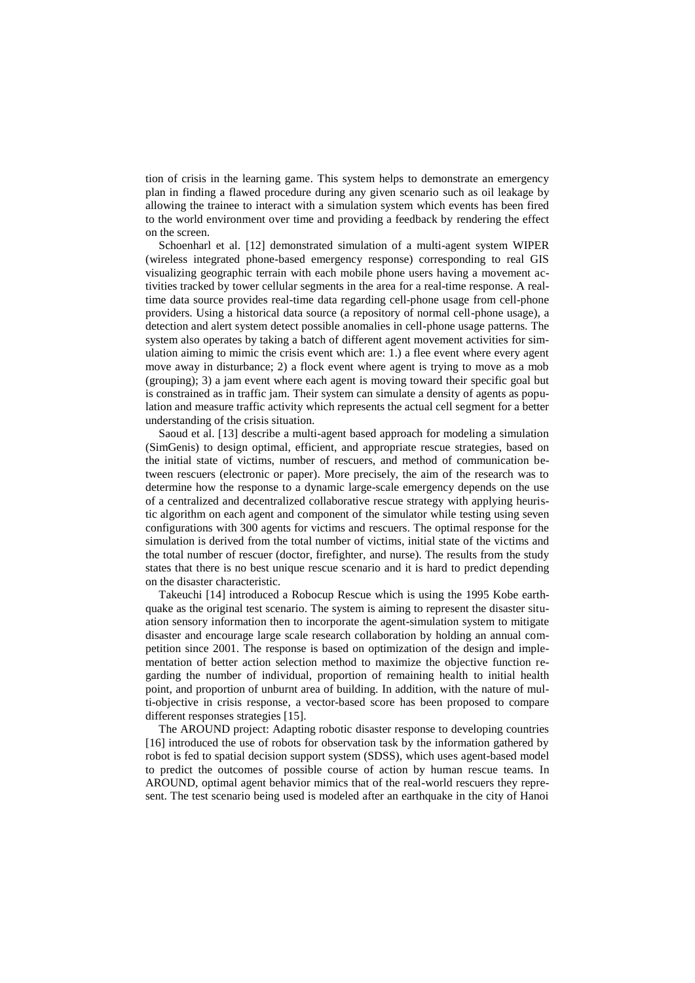tion of crisis in the learning game. This system helps to demonstrate an emergency plan in finding a flawed procedure during any given scenario such as oil leakage by allowing the trainee to interact with a simulation system which events has been fired to the world environment over time and providing a feedback by rendering the effect on the screen.

Schoenharl et al. [12] demonstrated simulation of a multi-agent system WIPER (wireless integrated phone-based emergency response) corresponding to real GIS visualizing geographic terrain with each mobile phone users having a movement activities tracked by tower cellular segments in the area for a real-time response. A realtime data source provides real-time data regarding cell-phone usage from cell-phone providers. Using a historical data source (a repository of normal cell-phone usage), a detection and alert system detect possible anomalies in cell-phone usage patterns. The system also operates by taking a batch of different agent movement activities for simulation aiming to mimic the crisis event which are: 1.) a flee event where every agent move away in disturbance; 2) a flock event where agent is trying to move as a mob (grouping); 3) a jam event where each agent is moving toward their specific goal but is constrained as in traffic jam. Their system can simulate a density of agents as population and measure traffic activity which represents the actual cell segment for a better understanding of the crisis situation.

Saoud et al. [13] describe a multi-agent based approach for modeling a simulation (SimGenis) to design optimal, efficient, and appropriate rescue strategies, based on the initial state of victims, number of rescuers, and method of communication between rescuers (electronic or paper). More precisely, the aim of the research was to determine how the response to a dynamic large-scale emergency depends on the use of a centralized and decentralized collaborative rescue strategy with applying heuristic algorithm on each agent and component of the simulator while testing using seven configurations with 300 agents for victims and rescuers. The optimal response for the simulation is derived from the total number of victims, initial state of the victims and the total number of rescuer (doctor, firefighter, and nurse). The results from the study states that there is no best unique rescue scenario and it is hard to predict depending on the disaster characteristic.

Takeuchi [14] introduced a Robocup Rescue which is using the 1995 Kobe earthquake as the original test scenario. The system is aiming to represent the disaster situation sensory information then to incorporate the agent-simulation system to mitigate disaster and encourage large scale research collaboration by holding an annual competition since 2001. The response is based on optimization of the design and implementation of better action selection method to maximize the objective function regarding the number of individual, proportion of remaining health to initial health point, and proportion of unburnt area of building. In addition, with the nature of multi-objective in crisis response, a vector-based score has been proposed to compare different responses strategies [15].

The AROUND project: Adapting robotic disaster response to developing countries [16] introduced the use of robots for observation task by the information gathered by robot is fed to spatial decision support system (SDSS), which uses agent-based model to predict the outcomes of possible course of action by human rescue teams. In AROUND, optimal agent behavior mimics that of the real-world rescuers they represent. The test scenario being used is modeled after an earthquake in the city of Hanoi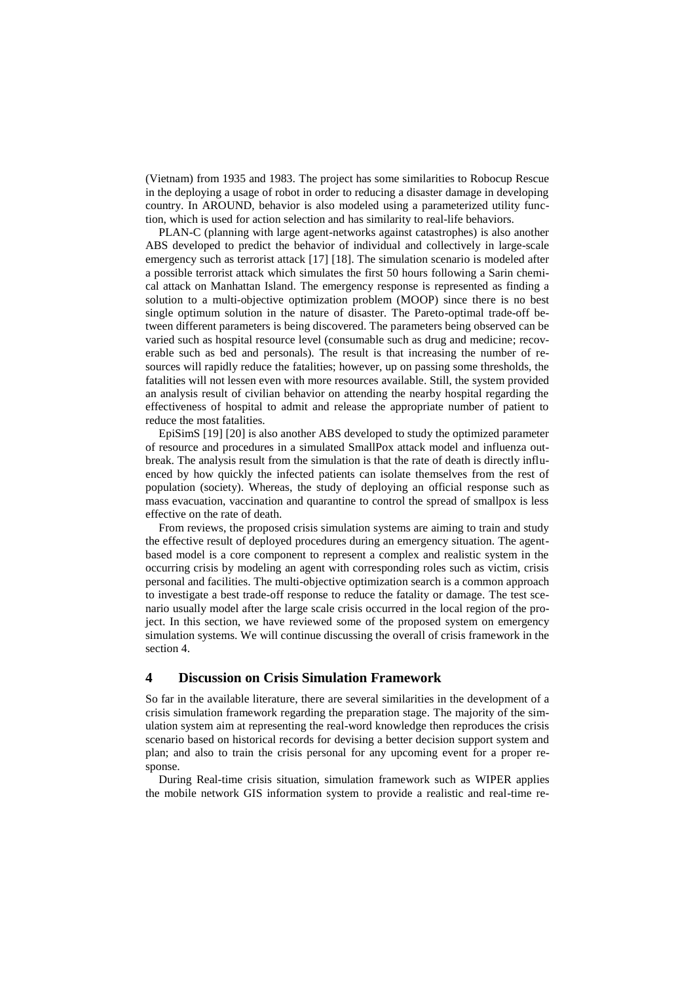(Vietnam) from 1935 and 1983. The project has some similarities to Robocup Rescue in the deploying a usage of robot in order to reducing a disaster damage in developing country. In AROUND, behavior is also modeled using a parameterized utility function, which is used for action selection and has similarity to real-life behaviors.

PLAN-C (planning with large agent-networks against catastrophes) is also another ABS developed to predict the behavior of individual and collectively in large-scale emergency such as terrorist attack [17] [18]. The simulation scenario is modeled after a possible terrorist attack which simulates the first 50 hours following a Sarin chemical attack on Manhattan Island. The emergency response is represented as finding a solution to a multi-objective optimization problem (MOOP) since there is no best single optimum solution in the nature of disaster. The Pareto-optimal trade-off between different parameters is being discovered. The parameters being observed can be varied such as hospital resource level (consumable such as drug and medicine; recoverable such as bed and personals). The result is that increasing the number of resources will rapidly reduce the fatalities; however, up on passing some thresholds, the fatalities will not lessen even with more resources available. Still, the system provided an analysis result of civilian behavior on attending the nearby hospital regarding the effectiveness of hospital to admit and release the appropriate number of patient to reduce the most fatalities.

EpiSimS [19] [20] is also another ABS developed to study the optimized parameter of resource and procedures in a simulated SmallPox attack model and influenza outbreak. The analysis result from the simulation is that the rate of death is directly influenced by how quickly the infected patients can isolate themselves from the rest of population (society). Whereas, the study of deploying an official response such as mass evacuation, vaccination and quarantine to control the spread of smallpox is less effective on the rate of death.

From reviews, the proposed crisis simulation systems are aiming to train and study the effective result of deployed procedures during an emergency situation. The agentbased model is a core component to represent a complex and realistic system in the occurring crisis by modeling an agent with corresponding roles such as victim, crisis personal and facilities. The multi-objective optimization search is a common approach to investigate a best trade-off response to reduce the fatality or damage. The test scenario usually model after the large scale crisis occurred in the local region of the project. In this section, we have reviewed some of the proposed system on emergency simulation systems. We will continue discussing the overall of crisis framework in the section 4.

# **4 Discussion on Crisis Simulation Framework**

So far in the available literature, there are several similarities in the development of a crisis simulation framework regarding the preparation stage. The majority of the simulation system aim at representing the real-word knowledge then reproduces the crisis scenario based on historical records for devising a better decision support system and plan; and also to train the crisis personal for any upcoming event for a proper response.

During Real-time crisis situation, simulation framework such as WIPER applies the mobile network GIS information system to provide a realistic and real-time re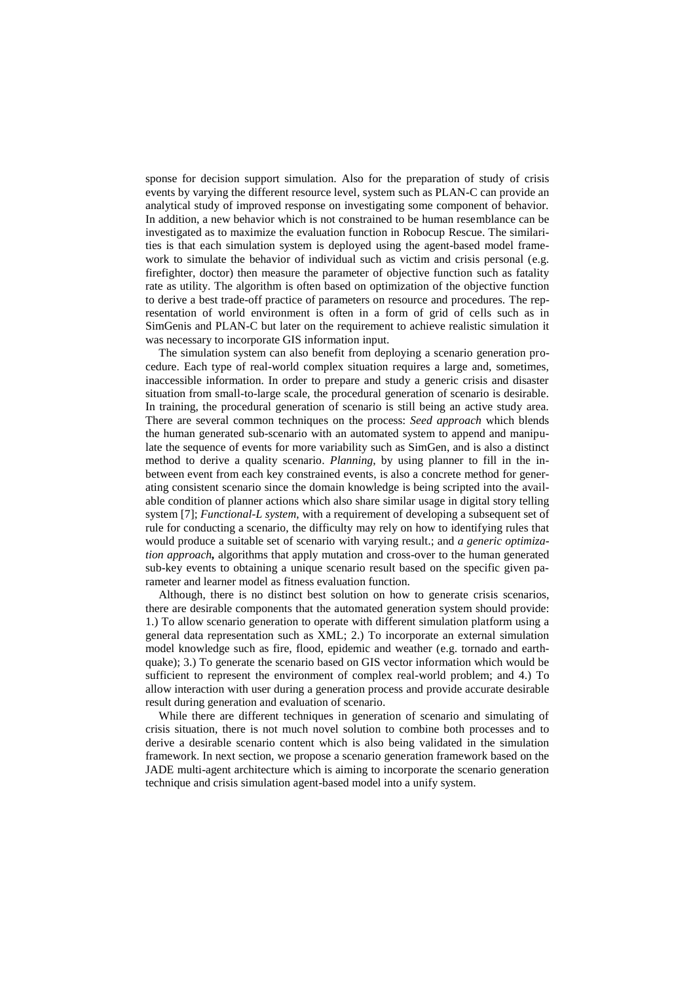sponse for decision support simulation. Also for the preparation of study of crisis events by varying the different resource level, system such as PLAN-C can provide an analytical study of improved response on investigating some component of behavior. In addition, a new behavior which is not constrained to be human resemblance can be investigated as to maximize the evaluation function in Robocup Rescue. The similarities is that each simulation system is deployed using the agent-based model framework to simulate the behavior of individual such as victim and crisis personal (e.g. firefighter, doctor) then measure the parameter of objective function such as fatality rate as utility. The algorithm is often based on optimization of the objective function to derive a best trade-off practice of parameters on resource and procedures. The representation of world environment is often in a form of grid of cells such as in SimGenis and PLAN-C but later on the requirement to achieve realistic simulation it was necessary to incorporate GIS information input.

The simulation system can also benefit from deploying a scenario generation procedure. Each type of real-world complex situation requires a large and, sometimes, inaccessible information. In order to prepare and study a generic crisis and disaster situation from small-to-large scale, the procedural generation of scenario is desirable. In training, the procedural generation of scenario is still being an active study area. There are several common techniques on the process: *Seed approach* which blends the human generated sub-scenario with an automated system to append and manipulate the sequence of events for more variability such as SimGen, and is also a distinct method to derive a quality scenario. *Planning*, by using planner to fill in the inbetween event from each key constrained events, is also a concrete method for generating consistent scenario since the domain knowledge is being scripted into the available condition of planner actions which also share similar usage in digital story telling system [7]; *Functional-L system*, with a requirement of developing a subsequent set of rule for conducting a scenario, the difficulty may rely on how to identifying rules that would produce a suitable set of scenario with varying result.; and *a generic optimization approach,* algorithms that apply mutation and cross-over to the human generated sub-key events to obtaining a unique scenario result based on the specific given parameter and learner model as fitness evaluation function.

Although, there is no distinct best solution on how to generate crisis scenarios, there are desirable components that the automated generation system should provide: 1.) To allow scenario generation to operate with different simulation platform using a general data representation such as XML; 2.) To incorporate an external simulation model knowledge such as fire, flood, epidemic and weather (e.g. tornado and earthquake); 3.) To generate the scenario based on GIS vector information which would be sufficient to represent the environment of complex real-world problem; and 4.) To allow interaction with user during a generation process and provide accurate desirable result during generation and evaluation of scenario.

While there are different techniques in generation of scenario and simulating of crisis situation, there is not much novel solution to combine both processes and to derive a desirable scenario content which is also being validated in the simulation framework. In next section, we propose a scenario generation framework based on the JADE multi-agent architecture which is aiming to incorporate the scenario generation technique and crisis simulation agent-based model into a unify system.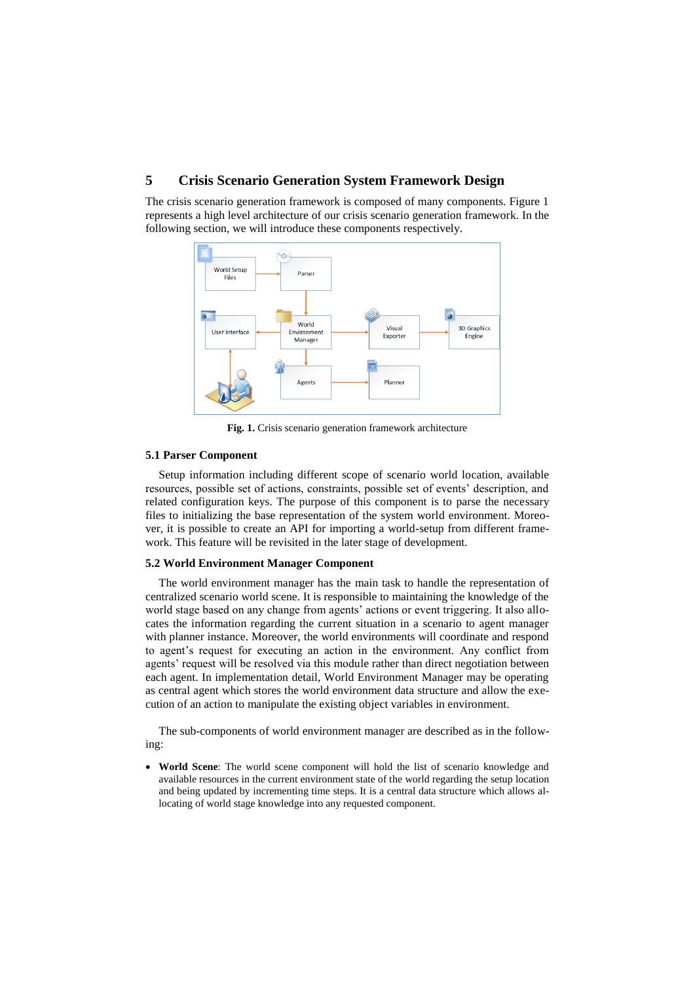# **5 Crisis Scenario Generation System Framework Design**

The crisis scenario generation framework is composed of many components. Figure 1 represents a high level architecture of our crisis scenario generation framework. In the following section, we will introduce these components respectively.



**Fig. 1.** Crisis scenario generation framework architecture

#### **5.1 Parser Component**

Setup information including different scope of scenario world location, available resources, possible set of actions, constraints, possible set of events' description, and related configuration keys. The purpose of this component is to parse the necessary files to initializing the base representation of the system world environment. Moreover, it is possible to create an API for importing a world-setup from different framework. This feature will be revisited in the later stage of development.

#### **5.2 World Environment Manager Component**

The world environment manager has the main task to handle the representation of centralized scenario world scene. It is responsible to maintaining the knowledge of the world stage based on any change from agents' actions or event triggering. It also allocates the information regarding the current situation in a scenario to agent manager with planner instance. Moreover, the world environments will coordinate and respond to agent's request for executing an action in the environment. Any conflict from agents' request will be resolved via this module rather than direct negotiation between each agent. In implementation detail, World Environment Manager may be operating as central agent which stores the world environment data structure and allow the execution of an action to manipulate the existing object variables in environment.

The sub-components of world environment manager are described as in the following:

 **World Scene**: The world scene component will hold the list of scenario knowledge and available resources in the current environment state of the world regarding the setup location and being updated by incrementing time steps. It is a central data structure which allows allocating of world stage knowledge into any requested component.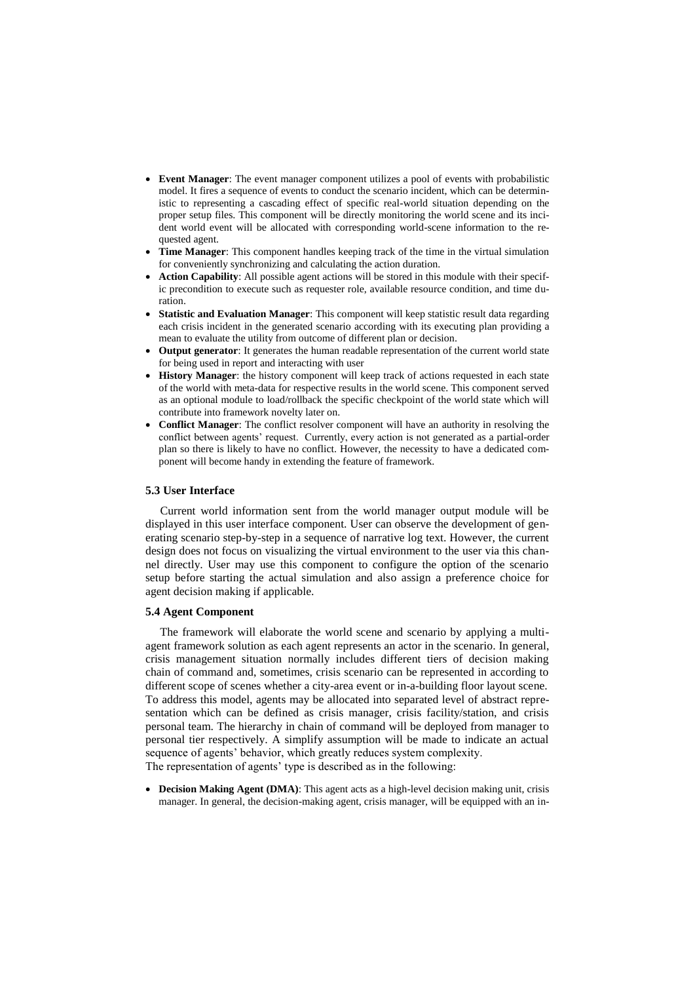- **Event Manager**: The event manager component utilizes a pool of events with probabilistic model. It fires a sequence of events to conduct the scenario incident, which can be deterministic to representing a cascading effect of specific real-world situation depending on the proper setup files. This component will be directly monitoring the world scene and its incident world event will be allocated with corresponding world-scene information to the requested agent.
- **Time Manager**: This component handles keeping track of the time in the virtual simulation for conveniently synchronizing and calculating the action duration.
- **Action Capability**: All possible agent actions will be stored in this module with their specific precondition to execute such as requester role, available resource condition, and time duration.
- **Statistic and Evaluation Manager**: This component will keep statistic result data regarding each crisis incident in the generated scenario according with its executing plan providing a mean to evaluate the utility from outcome of different plan or decision.
- **Output generator**: It generates the human readable representation of the current world state for being used in report and interacting with user
- **History Manager**: the history component will keep track of actions requested in each state of the world with meta-data for respective results in the world scene. This component served as an optional module to load/rollback the specific checkpoint of the world state which will contribute into framework novelty later on.
- **Conflict Manager**: The conflict resolver component will have an authority in resolving the conflict between agents' request. Currently, every action is not generated as a partial-order plan so there is likely to have no conflict. However, the necessity to have a dedicated component will become handy in extending the feature of framework.

#### **5.3 User Interface**

 Current world information sent from the world manager output module will be displayed in this user interface component. User can observe the development of generating scenario step-by-step in a sequence of narrative log text. However, the current design does not focus on visualizing the virtual environment to the user via this channel directly. User may use this component to configure the option of the scenario setup before starting the actual simulation and also assign a preference choice for agent decision making if applicable.

#### **5.4 Agent Component**

The framework will elaborate the world scene and scenario by applying a multiagent framework solution as each agent represents an actor in the scenario. In general, crisis management situation normally includes different tiers of decision making chain of command and, sometimes, crisis scenario can be represented in according to different scope of scenes whether a city-area event or in-a-building floor layout scene. To address this model, agents may be allocated into separated level of abstract representation which can be defined as crisis manager, crisis facility/station, and crisis personal team. The hierarchy in chain of command will be deployed from manager to personal tier respectively. A simplify assumption will be made to indicate an actual sequence of agents' behavior, which greatly reduces system complexity. The representation of agents' type is described as in the following:

 **Decision Making Agent (DMA)**: This agent acts as a high-level decision making unit, crisis manager. In general, the decision-making agent, crisis manager, will be equipped with an in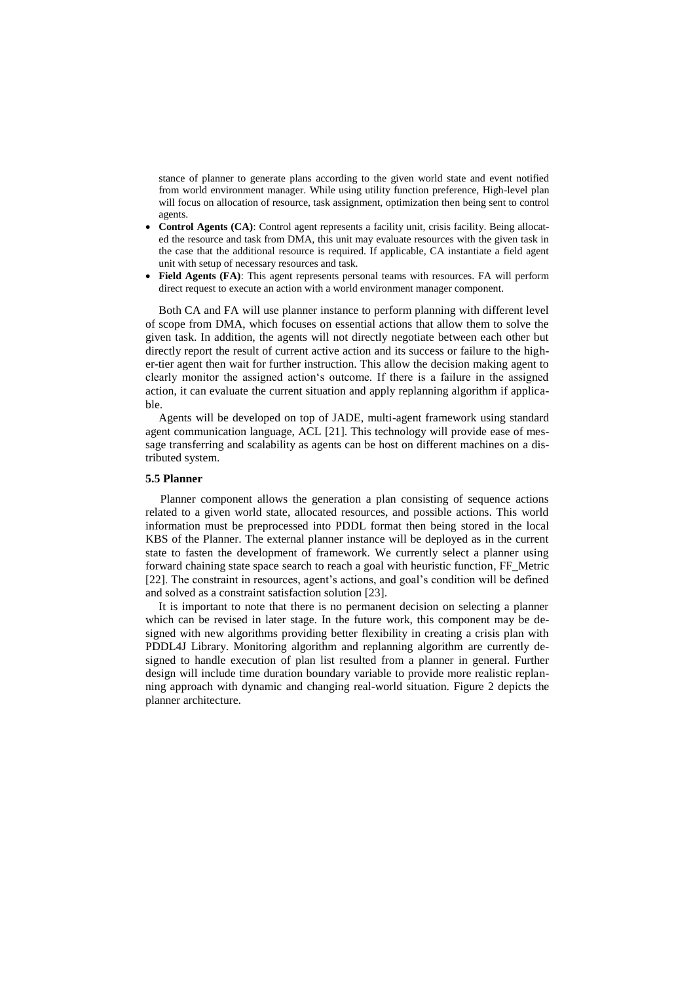stance of planner to generate plans according to the given world state and event notified from world environment manager. While using utility function preference, High-level plan will focus on allocation of resource, task assignment, optimization then being sent to control agents.

- **Control Agents (CA)**: Control agent represents a facility unit, crisis facility. Being allocated the resource and task from DMA, this unit may evaluate resources with the given task in the case that the additional resource is required. If applicable, CA instantiate a field agent unit with setup of necessary resources and task.
- **Field Agents (FA)**: This agent represents personal teams with resources. FA will perform direct request to execute an action with a world environment manager component.

Both CA and FA will use planner instance to perform planning with different level of scope from DMA, which focuses on essential actions that allow them to solve the given task. In addition, the agents will not directly negotiate between each other but directly report the result of current active action and its success or failure to the higher-tier agent then wait for further instruction. This allow the decision making agent to clearly monitor the assigned action's outcome. If there is a failure in the assigned action, it can evaluate the current situation and apply replanning algorithm if applicable.

Agents will be developed on top of JADE, multi-agent framework using standard agent communication language, ACL [21]. This technology will provide ease of message transferring and scalability as agents can be host on different machines on a distributed system.

### **5.5 Planner**

 Planner component allows the generation a plan consisting of sequence actions related to a given world state, allocated resources, and possible actions. This world information must be preprocessed into PDDL format then being stored in the local KBS of the Planner. The external planner instance will be deployed as in the current state to fasten the development of framework. We currently select a planner using forward chaining state space search to reach a goal with heuristic function, FF\_Metric [22]. The constraint in resources, agent's actions, and goal's condition will be defined and solved as a constraint satisfaction solution [23].

It is important to note that there is no permanent decision on selecting a planner which can be revised in later stage. In the future work, this component may be designed with new algorithms providing better flexibility in creating a crisis plan with PDDL4J Library. Monitoring algorithm and replanning algorithm are currently designed to handle execution of plan list resulted from a planner in general. Further design will include time duration boundary variable to provide more realistic replanning approach with dynamic and changing real-world situation. Figure 2 depicts the planner architecture.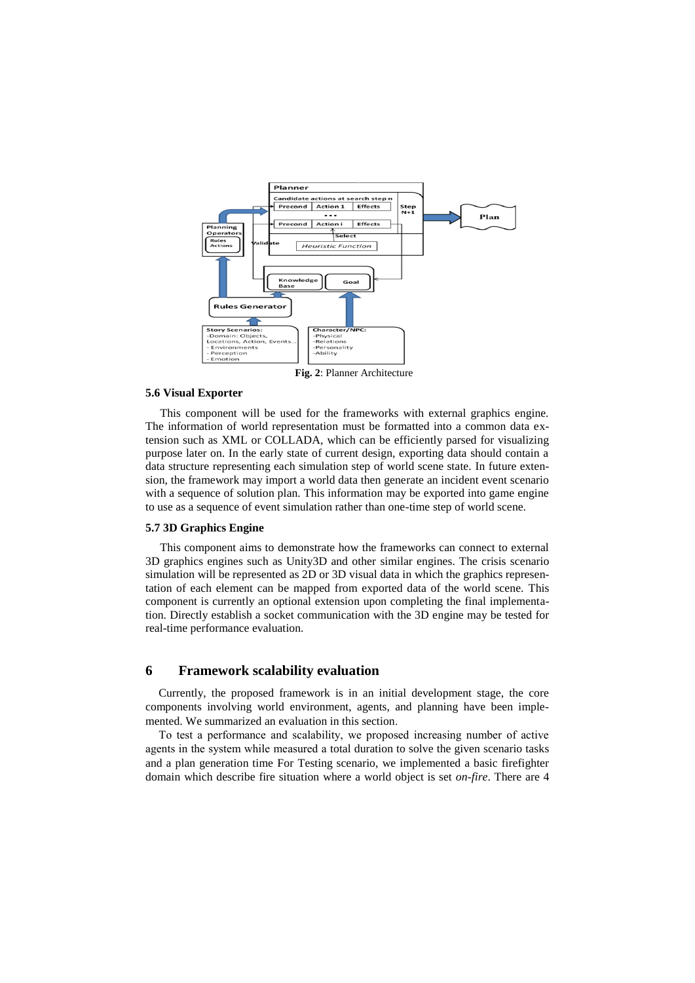

**Fig. 2**: Planner Architecture

#### **5.6 Visual Exporter**

 This component will be used for the frameworks with external graphics engine. The information of world representation must be formatted into a common data extension such as XML or COLLADA, which can be efficiently parsed for visualizing purpose later on. In the early state of current design, exporting data should contain a data structure representing each simulation step of world scene state. In future extension, the framework may import a world data then generate an incident event scenario with a sequence of solution plan. This information may be exported into game engine to use as a sequence of event simulation rather than one-time step of world scene.

#### **5.7 3D Graphics Engine**

 This component aims to demonstrate how the frameworks can connect to external 3D graphics engines such as Unity3D and other similar engines. The crisis scenario simulation will be represented as 2D or 3D visual data in which the graphics representation of each element can be mapped from exported data of the world scene. This component is currently an optional extension upon completing the final implementation. Directly establish a socket communication with the 3D engine may be tested for real-time performance evaluation.

## **6 Framework scalability evaluation**

Currently, the proposed framework is in an initial development stage, the core components involving world environment, agents, and planning have been implemented. We summarized an evaluation in this section.

To test a performance and scalability, we proposed increasing number of active agents in the system while measured a total duration to solve the given scenario tasks and a plan generation time For Testing scenario, we implemented a basic firefighter domain which describe fire situation where a world object is set *on-fire*. There are 4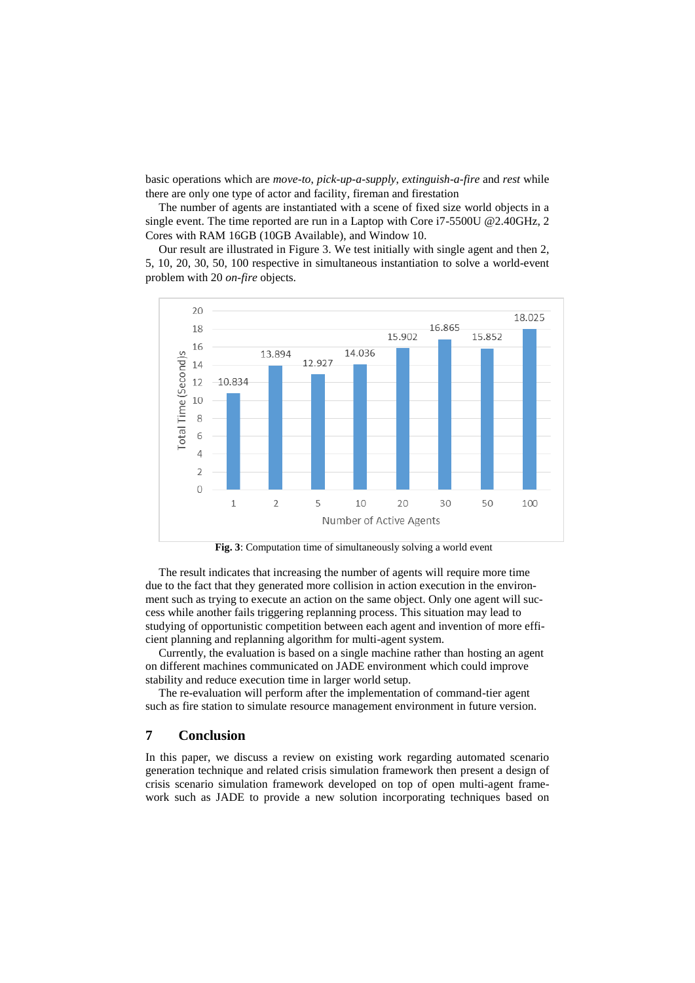basic operations which are *move-to*, *pick-up-a-supply*, *extinguish-a-fire* and *rest* while there are only one type of actor and facility, fireman and firestation

The number of agents are instantiated with a scene of fixed size world objects in a single event. The time reported are run in a Laptop with Core i7-5500U @2.40GHz, 2 Cores with RAM 16GB (10GB Available), and Window 10.

Our result are illustrated in Figure 3. We test initially with single agent and then 2, 5, 10, 20, 30, 50, 100 respective in simultaneous instantiation to solve a world-event problem with 20 *on-fire* objects.



**Fig. 3**: Computation time of simultaneously solving a world event

The result indicates that increasing the number of agents will require more time due to the fact that they generated more collision in action execution in the environment such as trying to execute an action on the same object. Only one agent will success while another fails triggering replanning process. This situation may lead to studying of opportunistic competition between each agent and invention of more efficient planning and replanning algorithm for multi-agent system.

Currently, the evaluation is based on a single machine rather than hosting an agent on different machines communicated on JADE environment which could improve stability and reduce execution time in larger world setup.

The re-evaluation will perform after the implementation of command-tier agent such as fire station to simulate resource management environment in future version.

# **7 Conclusion**

In this paper, we discuss a review on existing work regarding automated scenario generation technique and related crisis simulation framework then present a design of crisis scenario simulation framework developed on top of open multi-agent framework such as JADE to provide a new solution incorporating techniques based on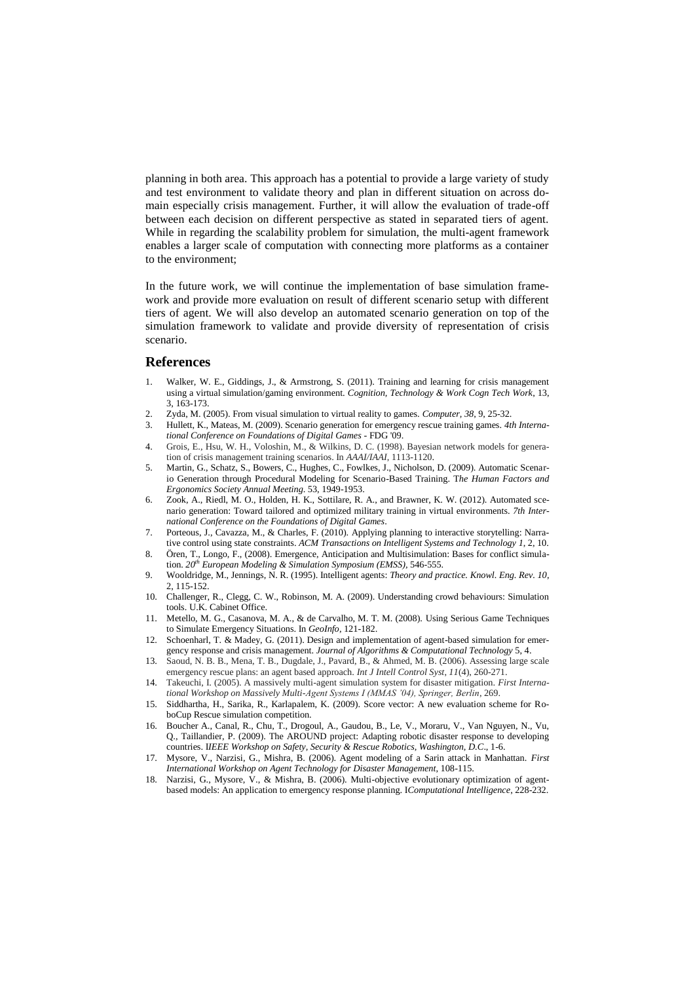planning in both area. This approach has a potential to provide a large variety of study and test environment to validate theory and plan in different situation on across domain especially crisis management. Further, it will allow the evaluation of trade-off between each decision on different perspective as stated in separated tiers of agent. While in regarding the scalability problem for simulation, the multi-agent framework enables a larger scale of computation with connecting more platforms as a container to the environment;

In the future work, we will continue the implementation of base simulation framework and provide more evaluation on result of different scenario setup with different tiers of agent. We will also develop an automated scenario generation on top of the simulation framework to validate and provide diversity of representation of crisis scenario.

#### **References**

- 1. Walker, W. E., Giddings, J., & Armstrong, S. (2011). Training and learning for crisis management using a virtual simulation/gaming environment. *Cognition, Technology & Work Cogn Tech Work*, 13, 3, 163-173.
- 2. Zyda, M. (2005). From visual simulation to virtual reality to games. *Computer, 38*, 9, 25-32.
- 3. Hullett, K., Mateas, M. (2009). Scenario generation for emergency rescue training games. *4th International Conference on Foundations of Digital Games* - FDG '09.
- 4. Grois, E., Hsu, W. H., Voloshin, M., & Wilkins, D. C. (1998). Bayesian network models for generation of crisis management training scenarios. In *AAAI/IAAI*, 1113-1120.
- 5. Martin, G., Schatz, S., Bowers, C., Hughes, C., Fowlkes, J., Nicholson, D. (2009). Automatic Scenario Generation through Procedural Modeling for Scenario-Based Training. T*he Human Factors and Ergonomics Society Annual Meeting*. 53, 1949-1953.
- 6. Zook, A., Riedl, M. O., Holden, H. K., Sottilare, R. A., and Brawner, K. W. (2012). Automated scenario generation: Toward tailored and optimized military training in virtual environments. *7th International Conference on the Foundations of Digital Games*.
- 7. Porteous, J., Cavazza, M., & Charles, F. (2010). Applying planning to interactive storytelling: Narrative control using state constraints. *ACM Transactions on Intelligent Systems and Technology 1*, 2, 10.
- Ören, T., Longo, F., (2008). Emergence, Anticipation and Multisimulation: Bases for conflict simulation. *20th European Modeling & Simulation Symposium (EMSS),* 546-555.
- 9. Wooldridge, M., Jennings, N. R. (1995). Intelligent agents: *Theory and practice. Knowl. Eng. Rev. 10*, 2, 115-152.
- 10. Challenger, R., Clegg, C. W., Robinson, M. A. (2009). Understanding crowd behaviours: Simulation tools. U.K. Cabinet Office.
- 11. Metello, M. G., Casanova, M. A., & de Carvalho, M. T. M. (2008). Using Serious Game Techniques to Simulate Emergency Situations. In *GeoInfo*, 121-182.
- 12. Schoenharl, T. & Madey, G. (2011). Design and implementation of agent-based simulation for emergency response and crisis management. *Journal of Algorithms & Computational Technology* 5, 4.
- 13. Saoud, N. B. B., Mena, T. B., Dugdale, J., Pavard, B., & Ahmed, M. B. (2006). Assessing large scale emergency rescue plans: an agent based approach. *Int J Intell Control Syst*, *11*(4), 260-271.
- 14. Takeuchi, I. (2005). A massively multi-agent simulation system for disaster mitigation. *First International Workshop on Massively Multi-Agent Systems I (MMAS '04), Springer, Berlin*, 269.
- 15. Siddhartha, H., Sarika, R., Karlapalem, K. (2009). Score vector: A new evaluation scheme for RoboCup Rescue simulation competition.
- 16. Boucher A., Canal, R., Chu, T., Drogoul, A., Gaudou, B., Le, V., Moraru, V., Van Nguyen, N., Vu, Q., Taillandier, P. (2009). The AROUND project: Adapting robotic disaster response to developing countries. I*IEEE Workshop on Safety, Security & Rescue Robotics, Washington, D.C*., 1-6.
- 17. Mysore, V., Narzisi, G., Mishra, B. (2006). Agent modeling of a Sarin attack in Manhattan. *First International Workshop on Agent Technology for Disaster Management*, 108-115.
- Narzisi, G., Mysore, V., & Mishra, B. (2006). Multi-objective evolutionary optimization of agentbased models: An application to emergency response planning. I*Computational Intelligence*, 228-232.